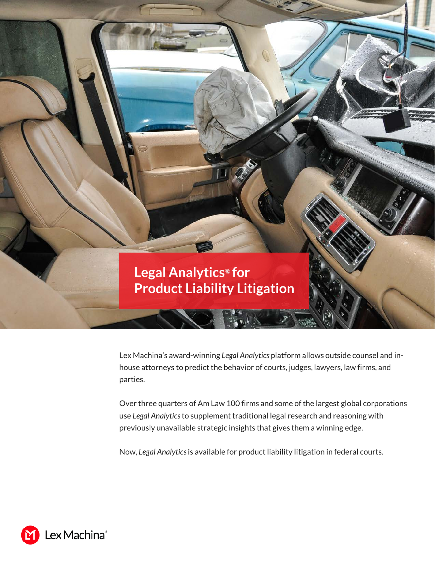

Lex Machina's award-winning *Legal Analytics* platform allows outside counsel and inhouse attorneys to predict the behavior of courts, judges, lawyers, law firms, and parties.

Over three quarters of Am Law 100 firms and some of the largest global corporations use *Legal Analytics* to supplement traditional legal research and reasoning with previously unavailable strategic insights that gives them a winning edge.

Now, *Legal Analytics*is available for product liability litigation in federal courts.